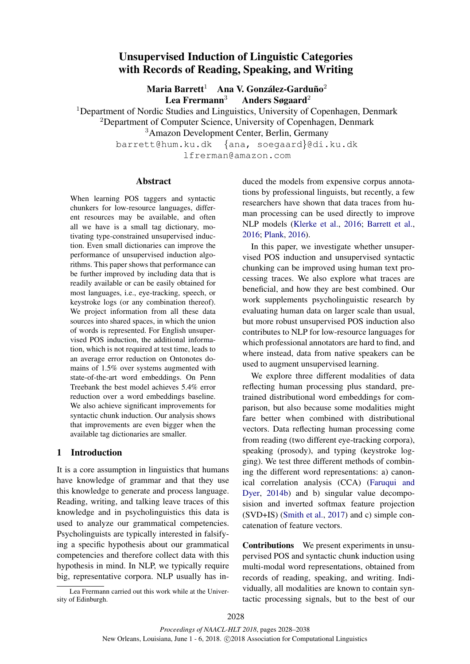# Unsupervised Induction of Linguistic Categories with Records of Reading, Speaking, and Writing

Maria Barrett $^1$  Ana V. González-Garduño $^2$ Lea Frermann<sup>3</sup> Anders Søgaard<sup>2</sup>

<sup>1</sup>Department of Nordic Studies and Linguistics, University of Copenhagen, Denmark

<sup>2</sup>Department of Computer Science, University of Copenhagen, Denmark

<sup>3</sup>Amazon Development Center, Berlin, Germany

barrett@hum.ku.dk {ana, soegaard}@di.ku.dk

lfrerman@amazon.com

## Abstract

When learning POS taggers and syntactic chunkers for low-resource languages, different resources may be available, and often all we have is a small tag dictionary, motivating type-constrained unsupervised induction. Even small dictionaries can improve the performance of unsupervised induction algorithms. This paper shows that performance can be further improved by including data that is readily available or can be easily obtained for most languages, i.e., eye-tracking, speech, or keystroke logs (or any combination thereof). We project information from all these data sources into shared spaces, in which the union of words is represented. For English unsupervised POS induction, the additional information, which is not required at test time, leads to an average error reduction on Ontonotes domains of 1.5% over systems augmented with state-of-the-art word embeddings. On Penn Treebank the best model achieves 5.4% error reduction over a word embeddings baseline. We also achieve significant improvements for syntactic chunk induction. Our analysis shows that improvements are even bigger when the available tag dictionaries are smaller.

# 1 Introduction

It is a core assumption in linguistics that humans have knowledge of grammar and that they use this knowledge to generate and process language. Reading, writing, and talking leave traces of this knowledge and in psycholinguistics this data is used to analyze our grammatical competencies. Psycholinguists are typically interested in falsifying a specific hypothesis about our grammatical competencies and therefore collect data with this hypothesis in mind. In NLP, we typically require big, representative corpora. NLP usually has in-

Lea Frermann carried out this work while at the University of Edinburgh.

duced the models from expensive corpus annotations by professional linguists, but recently, a few researchers have shown that data traces from human processing can be used directly to improve NLP models (Klerke et al., 2016; Barrett et al., 2016; Plank, 2016).

In this paper, we investigate whether unsupervised POS induction and unsupervised syntactic chunking can be improved using human text processing traces. We also explore what traces are beneficial, and how they are best combined. Our work supplements psycholinguistic research by evaluating human data on larger scale than usual, but more robust unsupervised POS induction also contributes to NLP for low-resource languages for which professional annotators are hard to find, and where instead, data from native speakers can be used to augment unsupervised learning.

We explore three different modalities of data reflecting human processing plus standard, pretrained distributional word embeddings for comparison, but also because some modalities might fare better when combined with distributional vectors. Data reflecting human processing come from reading (two different eye-tracking corpora), speaking (prosody), and typing (keystroke logging). We test three different methods of combining the different word representations: a) canonical correlation analysis (CCA) (Faruqui and Dyer, 2014b) and b) singular value decomposision and inverted softmax feature projection (SVD+IS) (Smith et al., 2017) and c) simple concatenation of feature vectors.

Contributions We present experiments in unsupervised POS and syntactic chunk induction using multi-modal word representations, obtained from records of reading, speaking, and writing. Individually, all modalities are known to contain syntactic processing signals, but to the best of our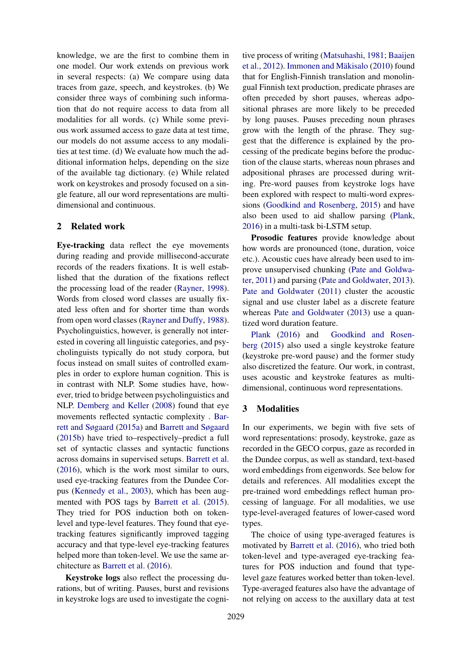knowledge, we are the first to combine them in one model. Our work extends on previous work in several respects: (a) We compare using data traces from gaze, speech, and keystrokes. (b) We consider three ways of combining such information that do not require access to data from all modalities for all words. (c) While some previous work assumed access to gaze data at test time, our models do not assume access to any modalities at test time. (d) We evaluate how much the additional information helps, depending on the size of the available tag dictionary. (e) While related work on keystrokes and prosody focused on a single feature, all our word representations are multidimensional and continuous.

## 2 Related work

Eye-tracking data reflect the eye movements during reading and provide millisecond-accurate records of the readers fixations. It is well established that the duration of the fixations reflect the processing load of the reader (Rayner, 1998). Words from closed word classes are usually fixated less often and for shorter time than words from open word classes (Rayner and Duffy, 1988). Psycholinguistics, however, is generally not interested in covering all linguistic categories, and psycholinguists typically do not study corpora, but focus instead on small suites of controlled examples in order to explore human cognition. This is in contrast with NLP. Some studies have, however, tried to bridge between psycholinguistics and NLP. Demberg and Keller (2008) found that eye movements reflected syntactic complexity . Barrett and Søgaard (2015a) and Barrett and Søgaard (2015b) have tried to–respectively–predict a full set of syntactic classes and syntactic functions across domains in supervised setups. Barrett et al. (2016), which is the work most similar to ours, used eye-tracking features from the Dundee Corpus (Kennedy et al., 2003), which has been augmented with POS tags by Barrett et al. (2015). They tried for POS induction both on tokenlevel and type-level features. They found that eyetracking features significantly improved tagging accuracy and that type-level eye-tracking features helped more than token-level. We use the same architecture as Barrett et al. (2016).

Keystroke logs also reflect the processing durations, but of writing. Pauses, burst and revisions in keystroke logs are used to investigate the cognitive process of writing (Matsuhashi, 1981; Baaijen et al., 2012). Immonen and Mäkisalo (2010) found that for English-Finnish translation and monolingual Finnish text production, predicate phrases are often preceded by short pauses, whereas adpositional phrases are more likely to be preceded by long pauses. Pauses preceding noun phrases grow with the length of the phrase. They suggest that the difference is explained by the processing of the predicate begins before the production of the clause starts, whereas noun phrases and adpositional phrases are processed during writing. Pre-word pauses from keystroke logs have been explored with respect to multi-word expressions (Goodkind and Rosenberg, 2015) and have also been used to aid shallow parsing (Plank, 2016) in a multi-task bi-LSTM setup.

Prosodic features provide knowledge about how words are pronounced (tone, duration, voice etc.). Acoustic cues have already been used to improve unsupervised chunking (Pate and Goldwater, 2011) and parsing (Pate and Goldwater, 2013). Pate and Goldwater (2011) cluster the acoustic signal and use cluster label as a discrete feature whereas Pate and Goldwater (2013) use a quantized word duration feature.

Plank (2016) and Goodkind and Rosenberg (2015) also used a single keystroke feature (keystroke pre-word pause) and the former study also discretized the feature. Our work, in contrast, uses acoustic and keystroke features as multidimensional, continuous word representations.

# 3 Modalities

In our experiments, we begin with five sets of word representations: prosody, keystroke, gaze as recorded in the GECO corpus, gaze as recorded in the Dundee corpus, as well as standard, text-based word embeddings from eigenwords. See below for details and references. All modalities except the pre-trained word embeddings reflect human processing of language. For all modalities, we use type-level-averaged features of lower-cased word types.

The choice of using type-averaged features is motivated by Barrett et al. (2016), who tried both token-level and type-averaged eye-tracking features for POS induction and found that typelevel gaze features worked better than token-level. Type-averaged features also have the advantage of not relying on access to the auxillary data at test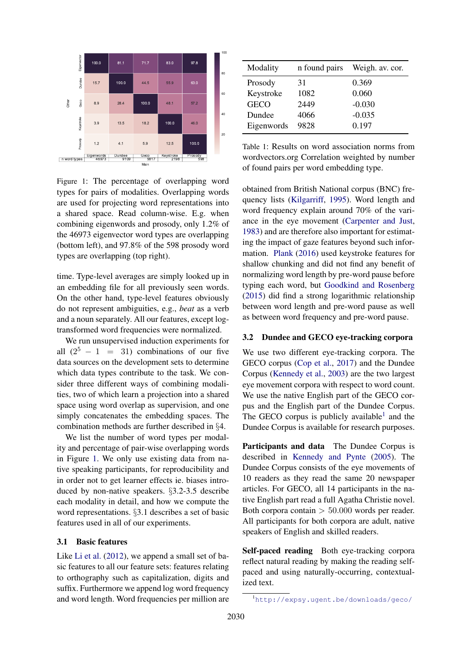

Figure 1: The percentage of overlapping word types for pairs of modalities. Overlapping words are used for projecting word representations into a shared space. Read column-wise. E.g. when combining eigenwords and prosody, only 1.2% of the 46973 eigenvector word types are overlapping (bottom left), and 97.8% of the 598 prosody word types are overlapping (top right).

time. Type-level averages are simply looked up in an embedding file for all previously seen words. On the other hand, type-level features obviously do not represent ambiguities, e.g., *beat* as a verb and a noun separately. All our features, except logtransformed word frequencies were normalized.

We run unsupervised induction experiments for all  $(2^5 - 1 = 31)$  combinations of our five data sources on the development sets to determine which data types contribute to the task. We consider three different ways of combining modalities, two of which learn a projection into a shared space using word overlap as supervision, and one simply concatenates the embedding spaces. The combination methods are further described in §4.

We list the number of word types per modality and percentage of pair-wise overlapping words in Figure 1. We only use existing data from native speaking participants, for reproducibility and in order not to get learner effects ie. biases introduced by non-native speakers. §3.2-3.5 describe each modality in detail, and how we compute the word representations. §3.1 describes a set of basic features used in all of our experiments.

## 3.1 Basic features

Like Li et al. (2012), we append a small set of basic features to all our feature sets: features relating to orthography such as capitalization, digits and suffix. Furthermore we append log word frequency and word length. Word frequencies per million are

| Modality    | n found pairs | Weigh. av. cor. |
|-------------|---------------|-----------------|
| Prosody     | 31            | 0.369           |
| Keystroke   | 1082          | 0.060           |
| <b>GECO</b> | 2449          | $-0.030$        |
| Dundee      | 4066          | $-0.035$        |
| Eigenwords  | 9828          | 0.197           |

Table 1: Results on word association norms from wordvectors.org Correlation weighted by number of found pairs per word embedding type.

obtained from British National corpus (BNC) frequency lists (Kilgarriff, 1995). Word length and word frequency explain around 70% of the variance in the eye movement (Carpenter and Just, 1983) and are therefore also important for estimating the impact of gaze features beyond such information. Plank (2016) used keystroke features for shallow chunking and did not find any benefit of normalizing word length by pre-word pause before typing each word, but Goodkind and Rosenberg (2015) did find a strong logarithmic relationship between word length and pre-word pause as well as between word frequency and pre-word pause.

## 3.2 Dundee and GECO eye-tracking corpora

We use two different eye-tracking corpora. The GECO corpus (Cop et al., 2017) and the Dundee Corpus (Kennedy et al., 2003) are the two largest eye movement corpora with respect to word count. We use the native English part of the GECO corpus and the English part of the Dundee Corpus. The GECO corpus is publicly available<sup>1</sup> and the Dundee Corpus is available for research purposes.

Participants and data The Dundee Corpus is described in Kennedy and Pynte (2005). The Dundee Corpus consists of the eye movements of 10 readers as they read the same 20 newspaper articles. For GECO, all 14 participants in the native English part read a full Agatha Christie novel. Both corpora contain  $> 50.000$  words per reader. All participants for both corpora are adult, native speakers of English and skilled readers.

Self-paced reading Both eye-tracking corpora reflect natural reading by making the reading selfpaced and using naturally-occurring, contextualized text.

<sup>1</sup>http://expsy.ugent.be/downloads/geco/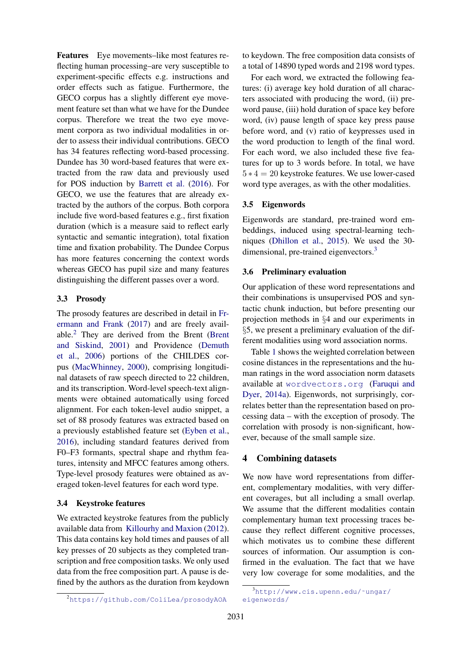Features Eye movements–like most features reflecting human processing–are very susceptible to experiment-specific effects e.g. instructions and order effects such as fatigue. Furthermore, the GECO corpus has a slightly different eye movement feature set than what we have for the Dundee corpus. Therefore we treat the two eye movement corpora as two individual modalities in order to assess their individual contributions. GECO has 34 features reflecting word-based processing. Dundee has 30 word-based features that were extracted from the raw data and previously used for POS induction by Barrett et al. (2016). For GECO, we use the features that are already extracted by the authors of the corpus. Both corpora include five word-based features e.g., first fixation duration (which is a measure said to reflect early syntactic and semantic integration), total fixation time and fixation probability. The Dundee Corpus has more features concerning the context words whereas GECO has pupil size and many features distinguishing the different passes over a word.

## 3.3 Prosody

The prosody features are described in detail in Frermann and Frank (2017) and are freely available.<sup>2</sup> They are derived from the Brent (Brent and Siskind, 2001) and Providence (Demuth et al., 2006) portions of the CHILDES corpus (MacWhinney, 2000), comprising longitudinal datasets of raw speech directed to 22 children, and its transcription. Word-level speech-text alignments were obtained automatically using forced alignment. For each token-level audio snippet, a set of 88 prosody features was extracted based on a previously established feature set (Eyben et al., 2016), including standard features derived from F0–F3 formants, spectral shape and rhythm features, intensity and MFCC features among others. Type-level prosody features were obtained as averaged token-level features for each word type.

## 3.4 Keystroke features

We extracted keystroke features from the publicly available data from Killourhy and Maxion (2012). This data contains key hold times and pauses of all key presses of 20 subjects as they completed transcription and free composition tasks. We only used data from the free composition part. A pause is defined by the authors as the duration from keydown

<sup>2</sup>https://github.com/ColiLea/prosodyAOA

to keydown. The free composition data consists of a total of 14890 typed words and 2198 word types.

For each word, we extracted the following features: (i) average key hold duration of all characters associated with producing the word, (ii) preword pause, (iii) hold duration of space key before word, (iv) pause length of space key press pause before word, and (v) ratio of keypresses used in the word production to length of the final word. For each word, we also included these five features for up to 3 words before. In total, we have  $5 * 4 = 20$  keystroke features. We use lower-cased word type averages, as with the other modalities.

#### 3.5 Eigenwords

Eigenwords are standard, pre-trained word embeddings, induced using spectral-learning techniques (Dhillon et al., 2015). We used the 30 dimensional, pre-trained eigenvectors.<sup>3</sup>

## 3.6 Preliminary evaluation

Our application of these word representations and their combinations is unsupervised POS and syntactic chunk induction, but before presenting our projection methods in §4 and our experiments in §5, we present a preliminary evaluation of the different modalities using word association norms.

Table 1 shows the weighted correlation between cosine distances in the representations and the human ratings in the word association norm datasets available at wordvectors.org (Faruqui and Dyer, 2014a). Eigenwords, not surprisingly, correlates better than the representation based on processing data – with the exception of prosody. The correlation with prosody is non-significant, however, because of the small sample size.

## 4 Combining datasets

We now have word representations from different, complementary modalities, with very different coverages, but all including a small overlap. We assume that the different modalities contain complementary human text processing traces because they reflect different cognitive processes, which motivates us to combine these different sources of information. Our assumption is confirmed in the evaluation. The fact that we have very low coverage for some modalities, and the

 $3$ http://www.cis.upenn.edu/~ungar/ eigenwords/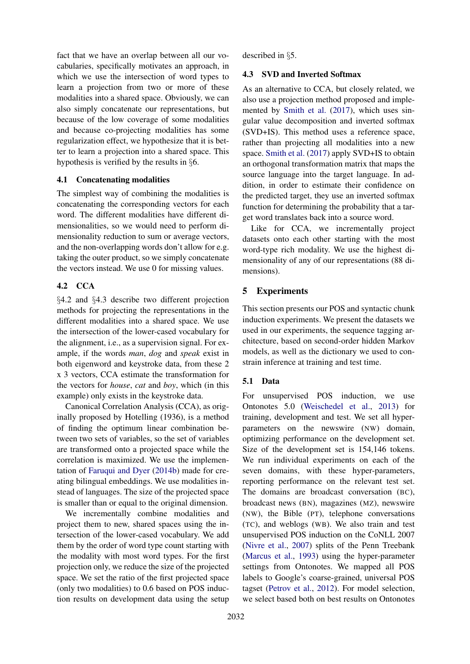fact that we have an overlap between all our vocabularies, specifically motivates an approach, in which we use the intersection of word types to learn a projection from two or more of these modalities into a shared space. Obviously, we can also simply concatenate our representations, but because of the low coverage of some modalities and because co-projecting modalities has some regularization effect, we hypothesize that it is better to learn a projection into a shared space. This hypothesis is verified by the results in §6.

## 4.1 Concatenating modalities

The simplest way of combining the modalities is concatenating the corresponding vectors for each word. The different modalities have different dimensionalities, so we would need to perform dimensionality reduction to sum or average vectors, and the non-overlapping words don't allow for e.g. taking the outer product, so we simply concatenate the vectors instead. We use 0 for missing values.

## 4.2 CCA

§4.2 and §4.3 describe two different projection methods for projecting the representations in the different modalities into a shared space. We use the intersection of the lower-cased vocabulary for the alignment, i.e., as a supervision signal. For example, if the words *man*, *dog* and *speak* exist in both eigenword and keystroke data, from these 2 x 3 vectors, CCA estimate the transformation for the vectors for *house*, *cat* and *boy*, which (in this example) only exists in the keystroke data.

Canonical Correlation Analysis (CCA), as originally proposed by Hotelling (1936), is a method of finding the optimum linear combination between two sets of variables, so the set of variables are transformed onto a projected space while the correlation is maximized. We use the implementation of Faruqui and Dyer (2014b) made for creating bilingual embeddings. We use modalities instead of languages. The size of the projected space is smaller than or equal to the original dimension.

We incrementally combine modalities and project them to new, shared spaces using the intersection of the lower-cased vocabulary. We add them by the order of word type count starting with the modality with most word types. For the first projection only, we reduce the size of the projected space. We set the ratio of the first projected space (only two modalities) to 0.6 based on POS induction results on development data using the setup described in §5.

## 4.3 SVD and Inverted Softmax

As an alternative to CCA, but closely related, we also use a projection method proposed and implemented by Smith et al. (2017), which uses singular value decomposition and inverted softmax (SVD+IS). This method uses a reference space, rather than projecting all modalities into a new space. Smith et al. (2017) apply SVD+IS to obtain an orthogonal transformation matrix that maps the source language into the target language. In addition, in order to estimate their confidence on the predicted target, they use an inverted softmax function for determining the probability that a target word translates back into a source word.

Like for CCA, we incrementally project datasets onto each other starting with the most word-type rich modality. We use the highest dimensionality of any of our representations (88 dimensions).

# 5 Experiments

This section presents our POS and syntactic chunk induction experiments. We present the datasets we used in our experiments, the sequence tagging architecture, based on second-order hidden Markov models, as well as the dictionary we used to constrain inference at training and test time.

#### 5.1 Data

For unsupervised POS induction, we use Ontonotes 5.0 (Weischedel et al., 2013) for training, development and test. We set all hyperparameters on the newswire (NW) domain, optimizing performance on the development set. Size of the development set is 154,146 tokens. We run individual experiments on each of the seven domains, with these hyper-parameters, reporting performance on the relevant test set. The domains are broadcast conversation (BC), broadcast news (BN), magazines (MZ), newswire (NW), the Bible (PT), telephone conversations (TC), and weblogs (WB). We also train and test unsupervised POS induction on the CoNLL 2007 (Nivre et al., 2007) splits of the Penn Treebank (Marcus et al., 1993) using the hyper-parameter settings from Ontonotes. We mapped all POS labels to Google's coarse-grained, universal POS tagset (Petrov et al., 2012). For model selection, we select based both on best results on Ontonotes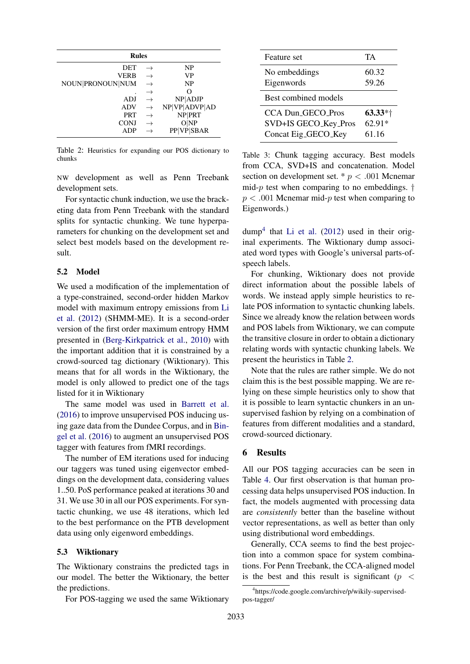| <b>Rules</b>     |               |                   |  |  |  |
|------------------|---------------|-------------------|--|--|--|
| DET              |               | NP                |  |  |  |
| VERB             |               | VP                |  |  |  |
| NOUN PRONOUN NUM | $\rightarrow$ | NP                |  |  |  |
|                  | $\rightarrow$ | $\mathcal{L}$     |  |  |  |
| ADJ              |               | NP ADJP           |  |  |  |
| ADV              | $\rightarrow$ | NP VP ADVP AD     |  |  |  |
| <b>PRT</b>       | $\rightarrow$ | NP PRT            |  |  |  |
| <b>CONJ</b>      |               | $O\vert NP$       |  |  |  |
| ADP              |               | <b>PP VP SBAR</b> |  |  |  |

Table 2: Heuristics for expanding our POS dictionary to chunks

NW development as well as Penn Treebank development sets.

For syntactic chunk induction, we use the bracketing data from Penn Treebank with the standard splits for syntactic chunking. We tune hyperparameters for chunking on the development set and select best models based on the development result.

## 5.2 Model

We used a modification of the implementation of a type-constrained, second-order hidden Markov model with maximum entropy emissions from Li et al. (2012) (SHMM-ME). It is a second-order version of the first order maximum entropy HMM presented in (Berg-Kirkpatrick et al., 2010) with the important addition that it is constrained by a crowd-sourced tag dictionary (Wiktionary). This means that for all words in the Wiktionary, the model is only allowed to predict one of the tags listed for it in Wiktionary

The same model was used in Barrett et al. (2016) to improve unsupervised POS inducing using gaze data from the Dundee Corpus, and in Bingel et al. (2016) to augment an unsupervised POS tagger with features from fMRI recordings.

The number of EM iterations used for inducing our taggers was tuned using eigenvector embeddings on the development data, considering values 1..50. PoS performance peaked at iterations 30 and 31. We use 30 in all our POS experiments. For syntactic chunking, we use 48 iterations, which led to the best performance on the PTB development data using only eigenword embeddings.

#### 5.3 Wiktionary

The Wiktionary constrains the predicted tags in our model. The better the Wiktionary, the better the predictions.

For POS-tagging we used the same Wiktionary

| Feature set              | TA       |
|--------------------------|----------|
| No embeddings            | 60.32    |
| Eigenwords               | 59.26    |
| Best combined models     |          |
| <b>CCA Dun_GECO_Pros</b> | $63.33*$ |
| SVD+IS GECO_Key_Pros     | $62.91*$ |
| Concat Eig_GECO_Key      | 61.16    |

Table 3: Chunk tagging accuracy. Best models from CCA, SVD+IS and concatenation. Model section on development set.  $p < .001$  Mcnemar mid-*p* test when comparing to no embeddings.  $\dagger$  $p < .001$  Mcnemar mid-p test when comparing to Eigenwords.)

dump<sup>4</sup> that Li et al. (2012) used in their original experiments. The Wiktionary dump associated word types with Google's universal parts-ofspeech labels.

For chunking, Wiktionary does not provide direct information about the possible labels of words. We instead apply simple heuristics to relate POS information to syntactic chunking labels. Since we already know the relation between words and POS labels from Wiktionary, we can compute the transitive closure in order to obtain a dictionary relating words with syntactic chunking labels. We present the heuristics in Table 2.

Note that the rules are rather simple. We do not claim this is the best possible mapping. We are relying on these simple heuristics only to show that it is possible to learn syntactic chunkers in an unsupervised fashion by relying on a combination of features from different modalities and a standard, crowd-sourced dictionary.

#### 6 Results

All our POS tagging accuracies can be seen in Table 4. Our first observation is that human processing data helps unsupervised POS induction. In fact, the models augmented with processing data are *consistently* better than the baseline without vector representations, as well as better than only using distributional word embeddings.

Generally, CCA seems to find the best projection into a common space for system combinations. For Penn Treebank, the CCA-aligned model is the best and this result is significant ( $p \leq$ 

<sup>4</sup> https://code.google.com/archive/p/wikily-supervisedpos-tagger/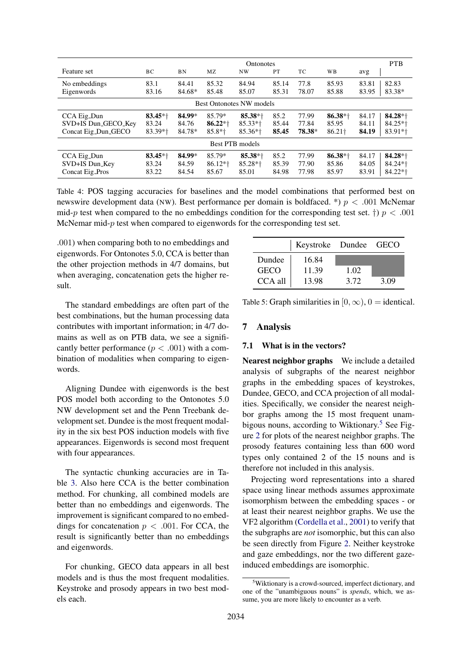|                                 | <b>Ontonotes</b>      |           |                      | <b>PTB</b>            |       |        |                       |                   |
|---------------------------------|-----------------------|-----------|----------------------|-----------------------|-------|--------|-----------------------|-------------------|
| Feature set                     | BC                    | <b>BN</b> | MZ                   | NW                    | PT    | TC     | WB                    | avg               |
| No embeddings                   | 83.1                  | 84.41     | 85.32                | 84.94                 | 85.14 | 77.8   | 85.93                 | 82.83<br>83.81    |
| Eigenwords                      | 83.16                 | 84.68*    | 85.48                | 85.07                 | 85.31 | 78.07  | 85.88                 | 83.38*<br>83.95   |
| <b>Best Ontonotes NW models</b> |                       |           |                      |                       |       |        |                       |                   |
| CCA Eig_Dun                     | $83.45*$ <sup>+</sup> | 84.99*    | 85.79*               | $85.38*$ <sup>+</sup> | 85.2  | 77.99  | $86.38*$ <sup>+</sup> | 84.17<br>$84.28*$ |
| SVD+IS Dun_GECO_Key             | 83.24                 | 84.76     | $86.22*+$            | $85.33*$ <sup>+</sup> | 85.44 | 77.84  | 85.95                 | $84.25*$<br>84.11 |
| Concat Eig_Dun_GECO             | 83.39*†               | 84.78*    | $85.8*$ <sup>+</sup> | $85.36*$ <sup>+</sup> | 85.45 | 78.38* | $86.21\dagger$        | 84.19<br>$83.91*$ |
| Best PTB models                 |                       |           |                      |                       |       |        |                       |                   |
| CCA Eig_Dun                     | $83.45*$              | 84.99*    | 85.79*               | $85.38*$ <sup>+</sup> | 85.2  | 77.99  | $86.38*$ <sup>+</sup> | 84.17<br>$84.28*$ |
| SVD+IS Dun_Key                  | 83.24                 | 84.59     | $86.12*$             | $85.28*$ <sup>+</sup> | 85.39 | 77.90  | 85.86                 | $84.24*$<br>84.05 |
| Concat Eig_Pros                 | 83.22                 | 84.54     | 85.67                | 85.01                 | 84.98 | 77.98  | 85.97                 | $84.22*$<br>83.91 |

Table 4: POS tagging accuracies for baselines and the model combinations that performed best on newswire development data (NW). Best performance per domain is boldfaced. \*) p < .001 McNemar mid-p test when compared to the no embeddings condition for the corresponding test set.  $\dagger$   $p$  < .001 McNemar mid-p test when compared to eigenwords for the corresponding test set.

.001) when comparing both to no embeddings and eigenwords. For Ontonotes 5.0, CCA is better than the other projection methods in 4/7 domains, but when averaging, concatenation gets the higher result.

The standard embeddings are often part of the best combinations, but the human processing data contributes with important information; in 4/7 domains as well as on PTB data, we see a significantly better performance  $(p < .001)$  with a combination of modalities when comparing to eigenwords.

Aligning Dundee with eigenwords is the best POS model both according to the Ontonotes 5.0 NW development set and the Penn Treebank development set. Dundee is the most frequent modality in the six best POS induction models with five appearances. Eigenwords is second most frequent with four appearances.

The syntactic chunking accuracies are in Table 3. Also here CCA is the better combination method. For chunking, all combined models are better than no embeddings and eigenwords. The improvement is significant compared to no embeddings for concatenation  $p < .001$ . For CCA, the result is significantly better than no embeddings and eigenwords.

For chunking, GECO data appears in all best models and is thus the most frequent modalities. Keystroke and prosody appears in two best models each.

|             | Keystroke Dundee GECO |      |      |
|-------------|-----------------------|------|------|
| Dundee      | 16.84                 |      |      |
| <b>GECO</b> | 11.39                 | 1.02 |      |
| CCA all     | 13.98                 | 3.72 | 3.09 |

Table 5: Graph similarities in  $[0, \infty)$ ,  $0 =$  identical.

### 7 Analysis

## 7.1 What is in the vectors?

Nearest neighbor graphs We include a detailed analysis of subgraphs of the nearest neighbor graphs in the embedding spaces of keystrokes, Dundee, GECO, and CCA projection of all modalities. Specifically, we consider the nearest neighbor graphs among the 15 most frequent unambigous nouns, according to Wiktionary.<sup>5</sup> See Figure 2 for plots of the nearest neighbor graphs. The prosody features containing less than 600 word types only contained 2 of the 15 nouns and is therefore not included in this analysis.

Projecting word representations into a shared space using linear methods assumes approximate isomorphism between the embedding spaces - or at least their nearest neighbor graphs. We use the VF2 algorithm (Cordella et al., 2001) to verify that the subgraphs are *not* isomorphic, but this can also be seen directly from Figure 2. Neither keystroke and gaze embeddings, nor the two different gazeinduced embeddings are isomorphic.

<sup>&</sup>lt;sup>5</sup>Wiktionary is a crowd-sourced, imperfect dictionary, and one of the "unambiguous nouns" is *spends*, which, we assume, you are more likely to encounter as a verb.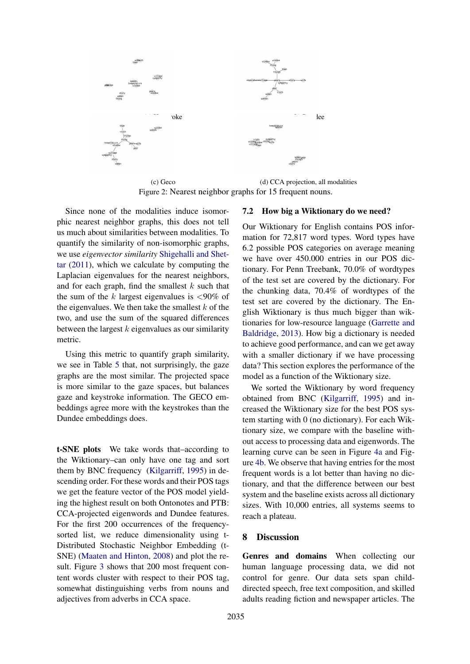

(c) Geco (d) CCA projection, all modalities Figure 2: Nearest neighbor graphs for 15 frequent nouns.

Since none of the modalities induce isomorphic nearest neighbor graphs, this does not tell us much about similarities between modalities. To quantify the similarity of non-isomorphic graphs, we use *eigenvector similarity* Shigehalli and Shettar (2011), which we calculate by computing the Laplacian eigenvalues for the nearest neighbors, and for each graph, find the smallest  $k$  such that the sum of the  $k$  largest eigenvalues is  $\langle 90\% \rangle$  of the eigenvalues. We then take the smallest  $k$  of the two, and use the sum of the squared differences between the largest  $k$  eigenvalues as our similarity metric.

Using this metric to quantify graph similarity, we see in Table 5 that, not surprisingly, the gaze graphs are the most similar. The projected space is more similar to the gaze spaces, but balances gaze and keystroke information. The GECO embeddings agree more with the keystrokes than the Dundee embeddings does.

t-SNE plots We take words that–according to the Wiktionary–can only have one tag and sort them by BNC frequency (Kilgarriff, 1995) in descending order. For these words and their POS tags we get the feature vector of the POS model yielding the highest result on both Ontonotes and PTB: CCA-projected eigenwords and Dundee features. For the first 200 occurrences of the frequencysorted list, we reduce dimensionality using t-Distributed Stochastic Neighbor Embedding (t-SNE) (Maaten and Hinton, 2008) and plot the result. Figure 3 shows that 200 most frequent content words cluster with respect to their POS tag, somewhat distinguishing verbs from nouns and adjectives from adverbs in CCA space.

# 7.2 How big a Wiktionary do we need?

Our Wiktionary for English contains POS information for 72,817 word types. Word types have 6.2 possible POS categories on average meaning we have over 450.000 entries in our POS dictionary. For Penn Treebank, 70.0% of wordtypes of the test set are covered by the dictionary. For the chunking data, 70.4% of wordtypes of the test set are covered by the dictionary. The English Wiktionary is thus much bigger than wiktionaries for low-resource language (Garrette and Baldridge, 2013). How big a dictionary is needed to achieve good performance, and can we get away with a smaller dictionary if we have processing data? This section explores the performance of the model as a function of the Wiktionary size.

We sorted the Wiktionary by word frequency obtained from BNC (Kilgarriff, 1995) and increased the Wiktionary size for the best POS system starting with 0 (no dictionary). For each Wiktionary size, we compare with the baseline without access to processing data and eigenwords. The learning curve can be seen in Figure 4a and Figure 4b. We observe that having entries for the most frequent words is a lot better than having no dictionary, and that the difference between our best system and the baseline exists across all dictionary sizes. With 10,000 entries, all systems seems to reach a plateau.

#### 8 Discussion

Genres and domains When collecting our human language processing data, we did not control for genre. Our data sets span childdirected speech, free text composition, and skilled adults reading fiction and newspaper articles. The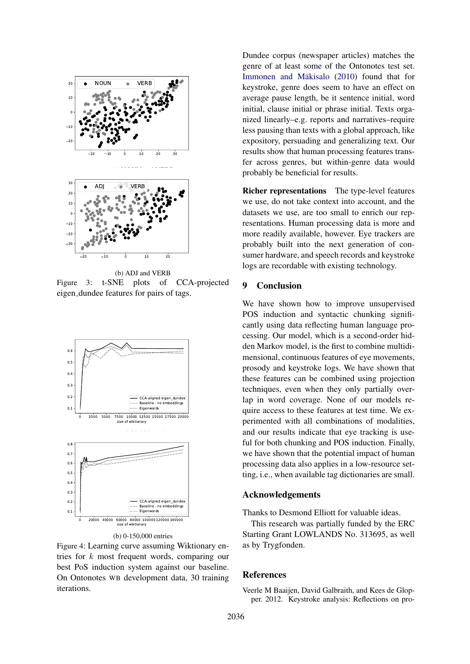

Figure 3: t-SNE plots of CCA-projected eigen dundee features for pairs of tags.



(b) 0-150,000 entries

Figure 4: Learning curve assuming Wiktionary entries for k most frequent words, comparing our best PoS induction system against our baseline. On Ontonotes WB development data, 30 training iterations.

Dundee corpus (newspaper articles) matches the genre of at least some of the Ontonotes test set. Immonen and Mäkisalo (2010) found that for keystroke, genre does seem to have an effect on average pause length, be it sentence initial, word initial, clause initial or phrase initial. Texts organized linearly–e.g. reports and narratives–require less pausing than texts with a global approach, like expository, persuading and generalizing text. Our results show that human processing features transfer across genres, but within-genre data would probably be beneficial for results.

Richer representations The type-level features we use, do not take context into account, and the datasets we use, are too small to enrich our representations. Human processing data is more and more readily available, however. Eye trackers are probably built into the next generation of consumer hardware, and speech records and keystroke logs are recordable with existing technology.

## 9 Conclusion

We have shown how to improve unsupervised POS induction and syntactic chunking significantly using data reflecting human language processing. Our model, which is a second-order hidden Markov model, is the first to combine multidimensional, continuous features of eye movements, prosody and keystroke logs. We have shown that these features can be combined using projection techniques, even when they only partially overlap in word coverage. None of our models require access to these features at test time. We experimented with all combinations of modalities, and our results indicate that eye tracking is useful for both chunking and POS induction. Finally, we have shown that the potential impact of human processing data also applies in a low-resource setting, i.e., when available tag dictionaries are small.

## Acknowledgements

Thanks to Desmond Elliott for valuable ideas.

This research was partially funded by the ERC Starting Grant LOWLANDS No. 313695, as well as by Trygfonden.

## References

Veerle M Baaijen, David Galbraith, and Kees de Glopper. 2012. Keystroke analysis: Reflections on pro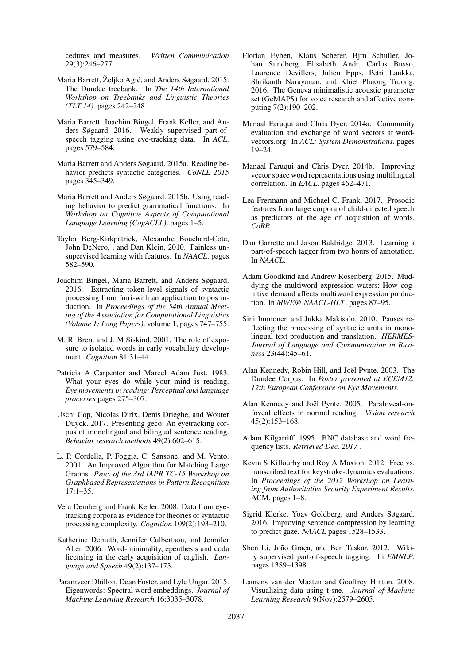cedures and measures. *Written Communication* 29(3):246–277.

- Maria Barrett, Željko Agić, and Anders Søgaard. 2015. The Dundee treebank. In *The 14th International Workshop on Treebanks and Linguistic Theories (TLT 14)*. pages 242–248.
- Maria Barrett, Joachim Bingel, Frank Keller, and Anders Søgaard. 2016. Weakly supervised part-ofspeech tagging using eye-tracking data. In *ACL*. pages 579–584.
- Maria Barrett and Anders Søgaard. 2015a. Reading behavior predicts syntactic categories. *CoNLL 2015* pages 345–349.
- Maria Barrett and Anders Søgaard. 2015b. Using reading behavior to predict grammatical functions. In *Workshop on Cognitive Aspects of Computational Language Learning (CogACLL)*. pages 1–5.
- Taylor Berg-Kirkpatrick, Alexandre Bouchard-Cote, John DeNero, , and Dan Klein. 2010. Painless unsupervised learning with features. In *NAACL*. pages 582–590.
- Joachim Bingel, Maria Barrett, and Anders Søgaard. 2016. Extracting token-level signals of syntactic processing from fmri-with an application to pos induction. In *Proceedings of the 54th Annual Meeting of the Association for Computational Linguistics (Volume 1: Long Papers)*. volume 1, pages 747–755.
- M. R. Brent and J. M Siskind. 2001. The role of exposure to isolated words in early vocabulary development. *Cognition* 81:31–44.
- Patricia A Carpenter and Marcel Adam Just. 1983. What your eyes do while your mind is reading. *Eye movements in reading: Perceptual and language processes* pages 275–307.
- Uschi Cop, Nicolas Dirix, Denis Drieghe, and Wouter Duyck. 2017. Presenting geco: An eyetracking corpus of monolingual and bilingual sentence reading. *Behavior research methods* 49(2):602–615.
- L. P. Cordella, P. Foggia, C. Sansone, and M. Vento. 2001. An Improved Algorithm for Matching Large Graphs. *Proc. of the 3rd IAPR TC-15 Workshop on Graphbased Representations in Pattern Recognition* 17:1–35.
- Vera Demberg and Frank Keller. 2008. Data from eyetracking corpora as evidence for theories of syntactic processing complexity. *Cognition* 109(2):193–210.
- Katherine Demuth, Jennifer Culbertson, and Jennifer Alter. 2006. Word-minimality, epenthesis and coda licensing in the early acquisition of english. *Language and Speech* 49(2):137–173.
- Paramveer Dhillon, Dean Foster, and Lyle Ungar. 2015. Eigenwords: Spectral word embeddings. *Journal of Machine Learning Research* 16:3035–3078.
- Florian Eyben, Klaus Scherer, Bjrn Schuller, Johan Sundberg, Elisabeth Andr, Carlos Busso, Laurence Devillers, Julien Epps, Petri Laukka, Shrikanth Narayanan, and Khiet Phuong Truong. 2016. The Geneva minimalistic acoustic parameter set (GeMAPS) for voice research and affective computing 7(2):190–202.
- Manaal Faruqui and Chris Dyer. 2014a. Community evaluation and exchange of word vectors at wordvectors.org. In *ACL: System Demonstrations*. pages 19–24.
- Manaal Faruqui and Chris Dyer. 2014b. Improving vector space word representations using multilingual correlation. In *EACL*. pages 462–471.
- Lea Frermann and Michael C. Frank. 2017. Prosodic features from large corpora of child-directed speech as predictors of the age of acquisition of words. *CoRR* .
- Dan Garrette and Jason Baldridge. 2013. Learning a part-of-speech tagger from two hours of annotation. In *NAACL*.
- Adam Goodkind and Andrew Rosenberg. 2015. Muddying the multiword expression waters: How cognitive demand affects multiword expression production. In *MWE@ NAACL-HLT*. pages 87–95.
- Sini Immonen and Jukka Mäkisalo. 2010. Pauses reflecting the processing of syntactic units in monolingual text production and translation. *HERMES-Journal of Language and Communication in Business* 23(44):45–61.
- Alan Kennedy, Robin Hill, and Joël Pynte. 2003. The Dundee Corpus. In *Poster presented at ECEM12: 12th European Conference on Eye Movements*.
- Alan Kennedy and Joël Pynte. 2005. Parafoveal-onfoveal effects in normal reading. *Vision research* 45(2):153–168.
- Adam Kilgarriff. 1995. BNC database and word frequency lists. *Retrieved Dec. 2017* .
- Kevin S Killourhy and Roy A Maxion. 2012. Free vs. transcribed text for keystroke-dynamics evaluations. In *Proceedings of the 2012 Workshop on Learning from Authoritative Security Experiment Results*. ACM, pages 1–8.
- Sigrid Klerke, Yoav Goldberg, and Anders Søgaard. 2016. Improving sentence compression by learning to predict gaze. *NAACL* pages 1528–1533.
- Shen Li, João Graça, and Ben Taskar. 2012. Wikily supervised part-of-speech tagging. In *EMNLP*. pages 1389–1398.
- Laurens van der Maaten and Geoffrey Hinton. 2008. Visualizing data using t-sne. *Journal of Machine Learning Research* 9(Nov):2579–2605.